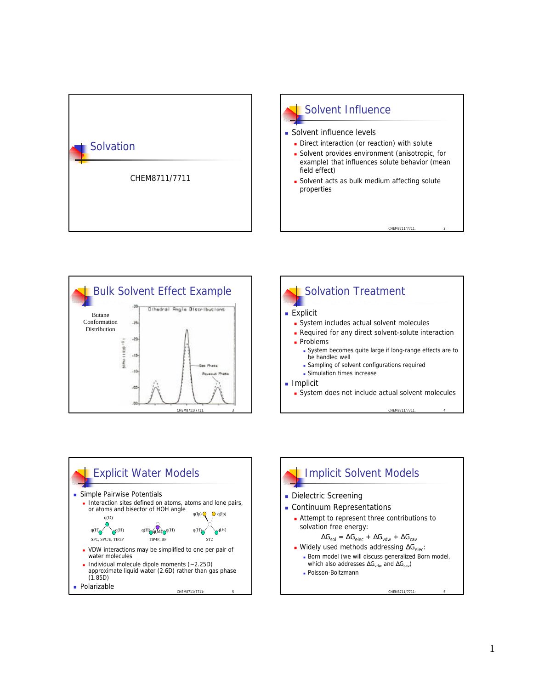









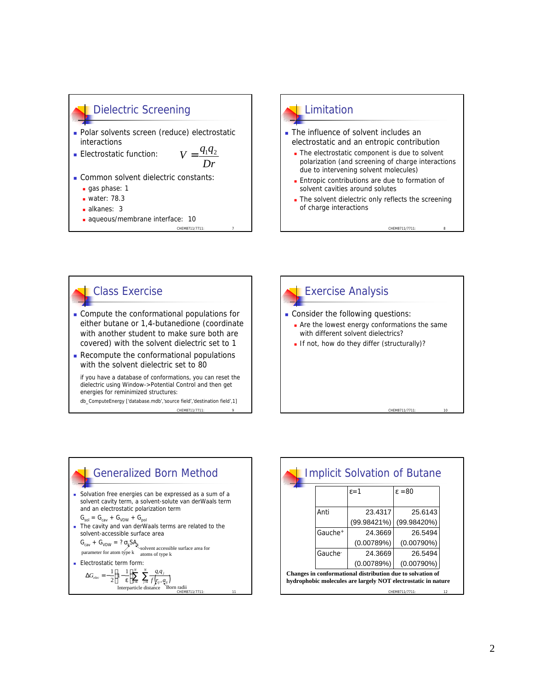## **Dielectric Screening**

- Polar solvents screen (reduce) electrostatic interactions
- **Electrostatic function:**

*Dr*  $V = \frac{q_1 q_2}{r_1 q_2}$ 

CHEM8711/7711

- **Common solvent dielectric constants:** 
	- $a$ as phase: 1
	- $\blacksquare$  water: 78.3
	- $a$  alkanes: 3
	- aqueous/membrane interface: 10

## **Limitation**

- The influence of solvent includes an electrostatic and an entropic contribution
	- The electrostatic component is due to solvent polarization (and screening of charge interactions due to intervening solvent molecules)
	- **Entropic contributions are due to formation of** solvent cavities around solutes
	- The solvent dielectric only reflects the screening of charge interactions

CHEM8711/7711

## Class Exercise

- <sup>n</sup> Compute the conformational populations for either butane or 1,4-butanedione (coordinate with another student to make sure both are covered) with the solvent dielectric set to 1
- $\blacksquare$  Recompute the conformational populations with the solvent dielectric set to 80

if you have a database of conformations, you can reset the dielectric using Window->Potential Control and then get energies for reminimized structures:

CHEM8711/7711 db\_ComputeEnergy ['database.mdb','source field','destination field',1]





|                     | $\varepsilon = 1$ | $\epsilon = 80$                                            |  |
|---------------------|-------------------|------------------------------------------------------------|--|
| Anti                | 23.4317           | 25.6143                                                    |  |
|                     | (99.98421%)       | (99.98420%)                                                |  |
| Gauche <sup>+</sup> | 24.3669           | 26.5494                                                    |  |
|                     | (0.00789%)        | $(0.00790\%)$                                              |  |
| Gauche <sup>-</sup> | 24.3669           | 26.5494                                                    |  |
|                     | (0.00789%)        | $(0.00790\%)$                                              |  |
|                     |                   | Changes in conformational distribution due to solvation of |  |